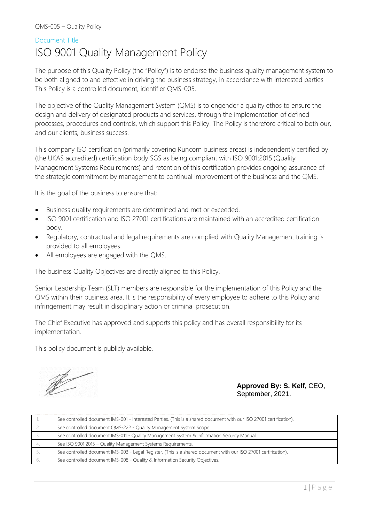#### Document Title

# ISO 9001 Quality Management Policy

The purpose of this Quality Policy (the "Policy") is to endorse the business quality management system to be both aligned to and effective in driving the business strategy, in accordance with interested parties: This Policy is a controlled document, identifier QMS-005.

The objective of the Quality Management System (QMS) is to engender a quality ethos to ensure the design and delivery of designated products and services, through the implementation of defined processes, procedures and controls, which support this Policy. The Policy is therefore critical to both our, and our clients, business success.

This company ISO certification (primarily covering Runcorn business areas) is independently certified by (the UKAS accredited) certification body SGS as being compliant with ISO 9001:2015 (Quality Management Systems Requirements) and retention of this certification provides ongoing assurance of the strategic commitment by management to continual improvement of the business and the QMS.

It is the goal of the business to ensure that:

- Business quality requirements are determined and met or exceeded.
- ISO 9001 certification and ISO 27001 certifications are maintained with an accredited certification body.
- Regulatory, contractual and legal requirements are complied with Quality Management training is provided to all employees.
- All employees are engaged with the QMS.

The business Quality Objectives are directly aligned to this Policy.

Senior Leadership Team (SLT) members are responsible for the implementation of this Policy and the QMS within their business area. It is the responsibility of every employee to adhere to this Policy and infringement may result in disciplinary action or criminal prosecution.

The Chief Executive has approved and supports this policy and has overall responsibility for its implementation.

This policy document is publicly available.

R

**Approved By: S. Kelf,** CEO, September, 2021.

| See controlled document IMS-001 - Interested Parties. (This is a shared document with our ISO 27001 certification). |
|---------------------------------------------------------------------------------------------------------------------|
| See controlled document QMS-222 - Quality Management System Scope.                                                  |
| See controlled document IMS-011 - Quality Management System & Information Security Manual.                          |
| See ISO 9001:2015 - Quality Management Systems Requirements.                                                        |
| See controlled document IMS-003 - Legal Register. (This is a shared document with our ISO 27001 certification).     |
| See controlled document IMS-008 - Quality & Information Security Objectives.                                        |
|                                                                                                                     |